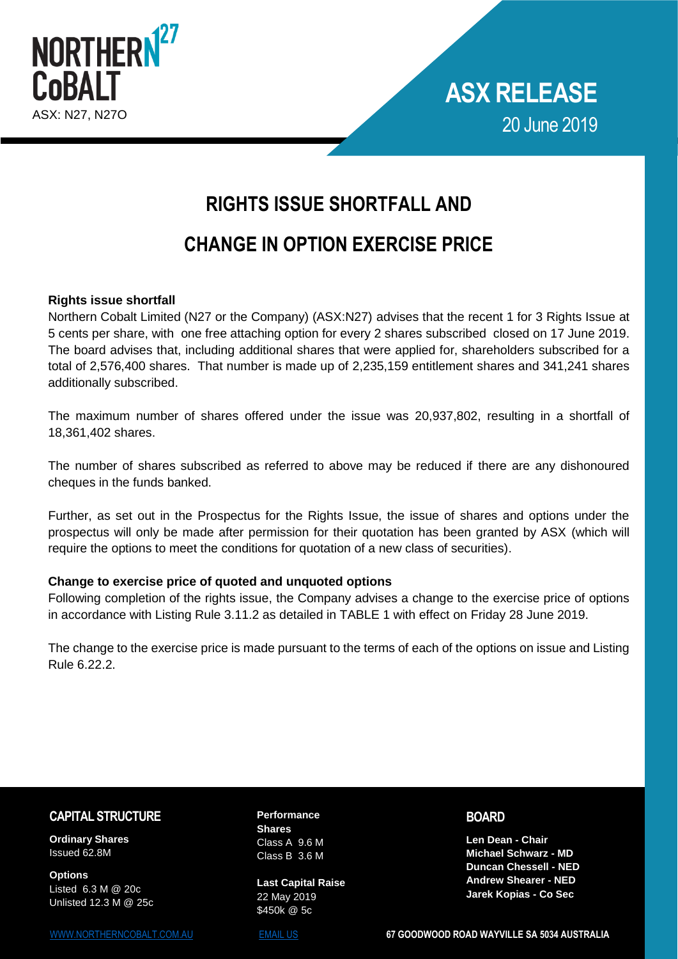



# **RIGHTS ISSUE SHORTFALL AND**

## **CHANGE IN OPTION EXERCISE PRICE**

#### **Rights issue shortfall**

Northern Cobalt Limited (N27 or the Company) (ASX:N27) advises that the recent 1 for 3 Rights Issue at 5 cents per share, with one free attaching option for every 2 shares subscribed closed on 17 June 2019. The board advises that, including additional shares that were applied for, shareholders subscribed for a total of 2,576,400 shares. That number is made up of 2,235,159 entitlement shares and 341,241 shares additionally subscribed.

The maximum number of shares offered under the issue was 20,937,802, resulting in a shortfall of 18,361,402 shares.

The number of shares subscribed as referred to above may be reduced if there are any dishonoured cheques in the funds banked.

Further, as set out in the Prospectus for the Rights Issue, the issue of shares and options under the prospectus will only be made after permission for their quotation has been granted by ASX (which will require the options to meet the conditions for quotation of a new class of securities).

#### **Change to exercise price of quoted and unquoted options**

Following completion of the rights issue, the Company advises a change to the exercise price of options in accordance with Listing Rule 3.11.2 as detailed in TABLE 1 with effect on Friday 28 June 2019.

The change to the exercise price is made pursuant to the terms of each of the options on issue and Listing Rule 6.22.2.

### **CAPITAL STRUCTURE**

**Ordinary Shares**  Issued 62.8M

**Options** Listed 6.3 M @ 20c Unlisted 12.3 M @ 25c **Performance Shares**  Class A 9.6 M Class B 3.6 M

**Last Capital Raise**  22 May 2019 \$450k @ 5c

**BOARD**

**Len Dean - Chair Michael Schwarz - MD Duncan Chessell - NED Andrew Shearer - NED Jarek Kopias - Co Sec**

[WWW.NORTHERNCOBALT.COM.AU](https://www.northerncobalt.com.au/) [EMAIL US](mailto:info@northerncobalt.com.au) **67 GOODWOOD ROAD WAYVILLE SA 5034 AUSTRALIA**